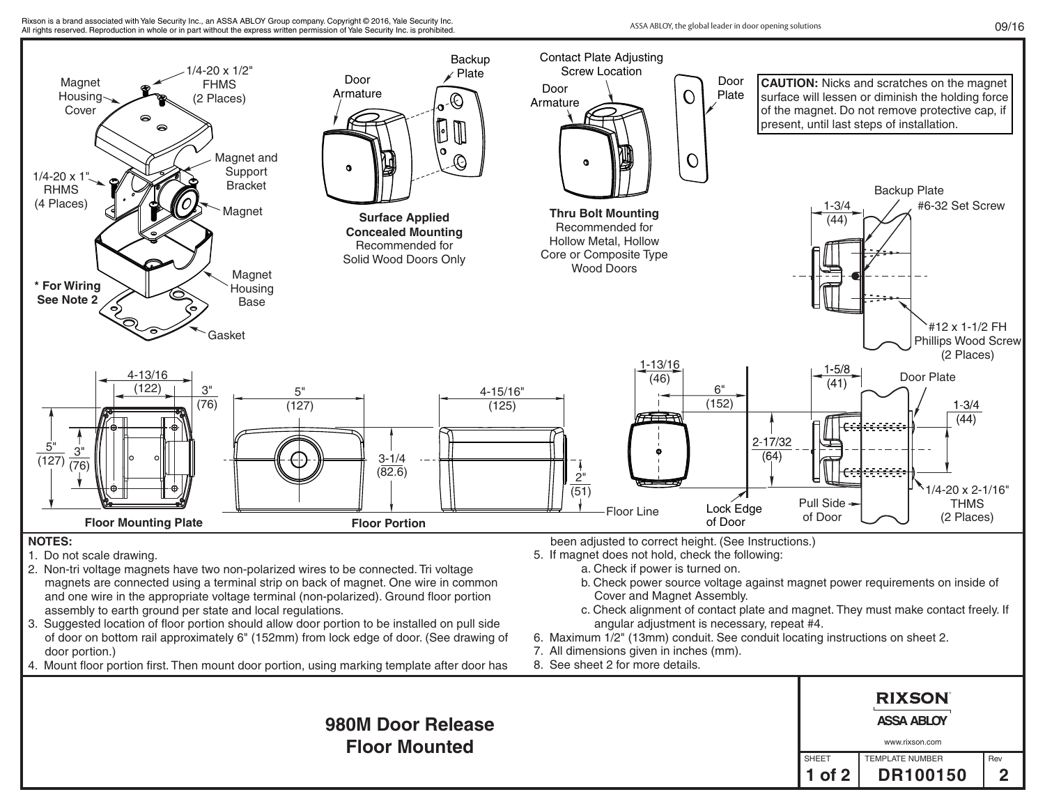